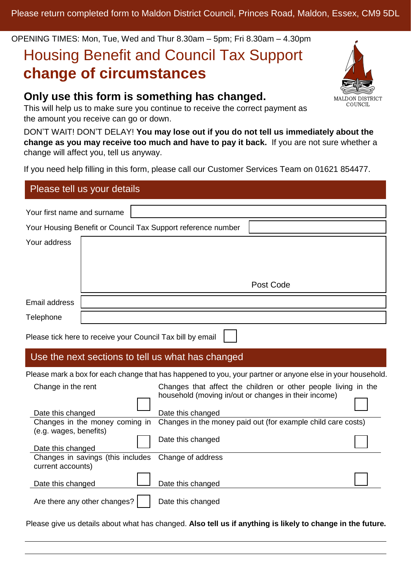OPENING TIMES: Mon, Tue, Wed and Thur 8.30am – 5pm; Fri 8.30am – 4.30pm

# Housing Benefit and Council Tax Support **change of circumstances**

# **Only use this form is something has changed.**

This will help us to make sure you continue to receive the correct payment as the amount you receive can go or down.

DON'T WAIT! DON'T DELAY! **You may lose out if you do not tell us immediately about the change as you may receive too much and have to pay it back.** If you are not sure whether a change will affect you, tell us anyway.

If you need help filling in this form, please call our Customer Services Team on 01621 854477.

| Please tell us your details |                                                              |           |  |
|-----------------------------|--------------------------------------------------------------|-----------|--|
| Your first name and surname |                                                              |           |  |
|                             | Your Housing Benefit or Council Tax Support reference number |           |  |
| Your address                |                                                              |           |  |
|                             |                                                              |           |  |
|                             |                                                              |           |  |
|                             |                                                              | Post Code |  |
| Email address               |                                                              |           |  |
| Telephone                   |                                                              |           |  |

Please tick here to receive your Council Tax bill by email

## Use the next sections to tell us what has changed

Please mark a box for each change that has happened to you, your partner or anyone else in your household.

| Change in the rent<br>Date this changed                | Changes that affect the children or other people living in the<br>household (moving in/out or changes in their income)<br>Date this changed |
|--------------------------------------------------------|---------------------------------------------------------------------------------------------------------------------------------------------|
|                                                        |                                                                                                                                             |
| Changes in the money coming in                         | Changes in the money paid out (for example child care costs)                                                                                |
| (e.g. wages, benefits)<br>Date this changed            | Date this changed                                                                                                                           |
| Changes in savings (this includes<br>current accounts) | Change of address                                                                                                                           |
| Date this changed                                      | Date this changed                                                                                                                           |
| Are there any other changes?                           | Date this changed                                                                                                                           |

Please give us details about what has changed. **Also tell us if anything is likely to change in the future.**